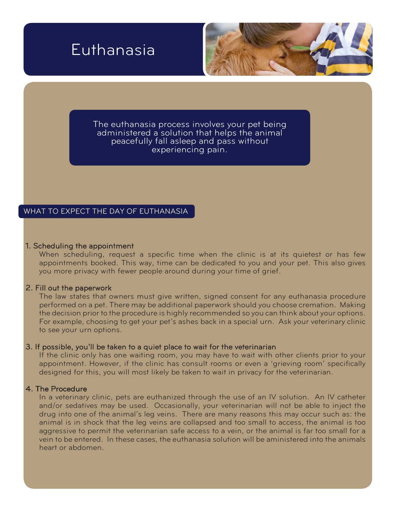# Euthanasia



The euthanasia process involves your pet being administered a solution that helps the animal peacefully fall asleep and pass without experiencing pain.

## WHAT TO EXPECT THE DAY OF EUTHANASIA

### 1. Scheduling the appointment

When scheduling, request a specific time when the clinic is at its quietest or has few appointments booked. This way, time can be dedicated to you and your pet. This also gives you more privacy with fewer people around during your time of grief.

## 2. Fill out the paperwork

The law states that owners must give written, signed consent for any euthanasia procedure performed on a pet. There may be additional paperwork should you choose cremation. Making the decision prior to the procedure is highly recommended so you can think about your options. For example, choosing to get your pet's ashes back in a special urn. Ask your veterinary clinic to see your urn options.

### 3. If possible, you'll be taken to a quiet place to wait for the veterinarian

If the clinic only has one waiting room, you may have to wait with other clients prior to your appointment. However, if the clinic has consult rooms or even a 'grieving room' specifically designed for this, you will most likely be taken to wait in privacy for the veterinarian.

## 4. The Procedure

In a veterinary clinic, pets are euthanized through the use of an IV solution. An IV catheter and/or sedatives may be used. Occasionally, your veterinarian will not be able to inject the drug into one of the animal's leg veins. There are many reasons this may occur such as: the animal is in shock that the leg veins are collapsed and too small to access, the animal is too aggressive to permit the veterinarian safe access to a vein, or the animal is far too small for a vein to be entered. In these cases, the euthanasia solution will be aministered into the animals heart or abdomen.